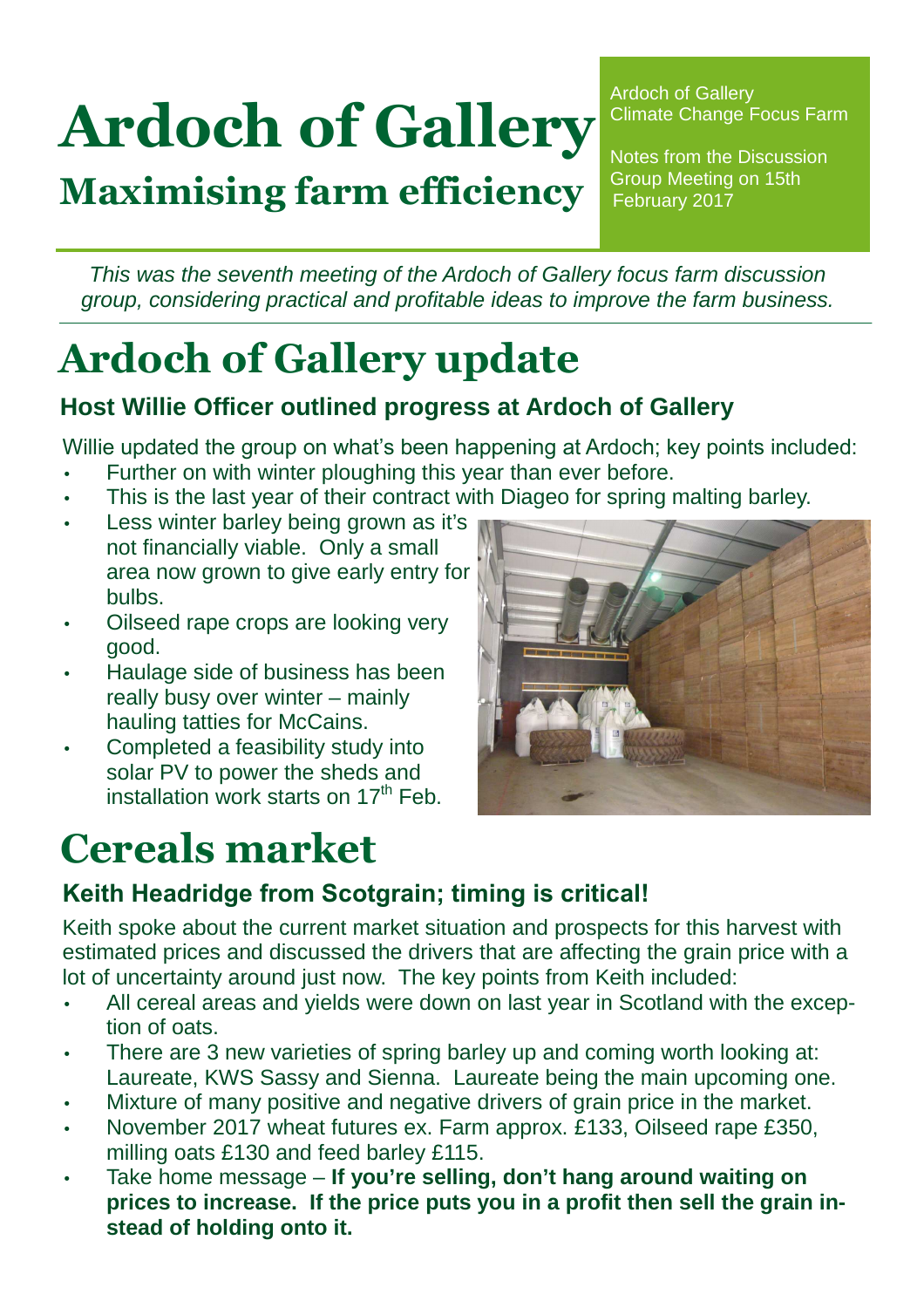# Ardoch of Gallery

Maximising farm efficiency

Ardoch of Gallery Climate Change Focus Farm

Notes from the Discussion Group Meeting on 15th February 2017

This was the seventh meeting of the Ardoch of Gallery focus farm discussion group, considering practical and profitable ideas to improve the farm business.

# Ardoch of Gallery update

#### **Host Willie Officer outlined progress at Ardoch of Gallery**

Willie updated the group on what's been happening at Ardoch; key points included:

- Further on with winter ploughing this year than ever before.
- This is the last year of their contract with Diageo for spring malting barley.
- Less winter barley being grown as it's not financially viable. Only a small area now grown to give early entry for bulbs.
- Oilseed rape crops are looking very good.
- Haulage side of business has been really busy over winter – mainly hauling tatties for McCains.
- Completed a feasibility study into solar PV to power the sheds and installation work starts on  $17<sup>th</sup>$  Feb.

## Cereals market



#### Keith Headridge from Scotgrain; timing is critical!

Keith spoke about the current market situation and prospects for this harvest with estimated prices and discussed the drivers that are affecting the grain price with a lot of uncertainty around just now. The key points from Keith included:

- All cereal areas and yields were down on last year in Scotland with the exception of oats.
- There are 3 new varieties of spring barley up and coming worth looking at: Laureate, KWS Sassy and Sienna. Laureate being the main upcoming one.
- Mixture of many positive and negative drivers of grain price in the market.
- November 2017 wheat futures ex. Farm approx. £133, Oilseed rape £350, milling oats £130 and feed barley £115.
- Take home message **If you're selling, don't hang around waiting on prices to increase. If the price puts you in a profit then sell the grain instead of holding onto it.**